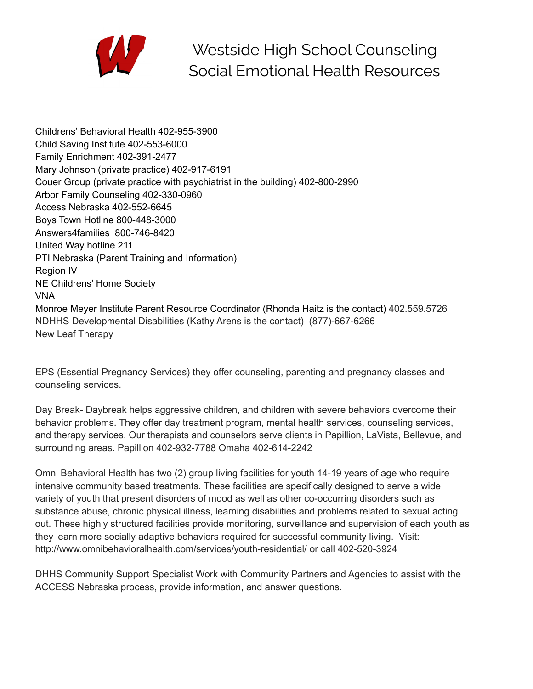

Westside High School Counseling Social Emotional Health Resources

Childrens' Behavioral Health 402-955-3900 Child Saving Institute 402-553-6000 Family Enrichment 402-391-2477 Mary Johnson (private practice) 402-917-6191 Couer Group (private practice with psychiatrist in the building) 402-800-2990 Arbor Family Counseling 402-330-0960 Access Nebraska 402-552-6645 Boys Town Hotline 800-448-3000 Answers4families 800-746-8420 United Way hotline 211 PTI Nebraska (Parent Training and Information) Region IV NE Childrens' Home Society VNA Monroe Meyer Institute Parent Resource Coordinator (Rhonda Haitz is the contact) 402.559.5726 NDHHS Developmental Disabilities (Kathy Arens is the contact) (877)-667-6266 New Leaf Therapy

EPS (Essential Pregnancy Services) they offer counseling, parenting and pregnancy classes and counseling services.

Day Break- Daybreak helps aggressive children, and children with severe behaviors overcome their behavior problems. They offer day treatment program, mental health services, counseling services, and therapy services. Our therapists and counselors serve clients in Papillion, LaVista, Bellevue, and surrounding areas. Papillion 402-932-7788 Omaha 402-614-2242

Omni Behavioral Health has two (2) group living facilities for youth 14-19 years of age who require intensive community based treatments. These facilities are specifically designed to serve a wide variety of youth that present disorders of mood as well as other co-occurring disorders such as substance abuse, chronic physical illness, learning disabilities and problems related to sexual acting out. These highly structured facilities provide monitoring, surveillance and supervision of each youth as they learn more socially adaptive behaviors required for successful community living. Visit: http://www.omnibehavioralhealth.com/services/youth-residential/ or call 402-520-3924

DHHS Community Support Specialist Work with Community Partners and Agencies to assist with the ACCESS Nebraska process, provide information, and answer questions.